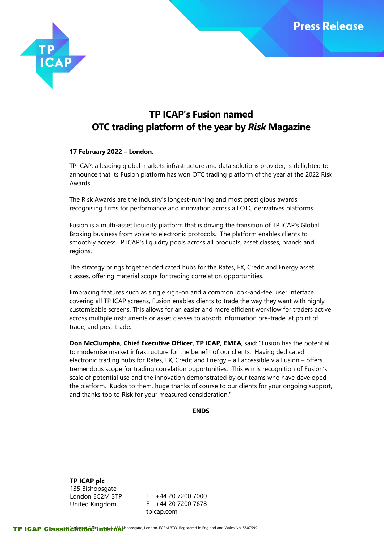

# **TP ICAP's Fusion named OTC trading platform of the year by** *Risk* **Magazine**

### **17 February 2022 – London**:

TP ICAP, a leading global markets infrastructure and data solutions provider, is delighted to announce that its Fusion platform has won OTC trading platform of the year at the 2022 Risk Awards.

The Risk Awards are the industry's longest-running and most prestigious awards, recognising firms for performance and innovation across all OTC derivatives platforms.

Fusion is a multi-asset liquidity platform that is driving the transition of TP ICAP's Global Broking business from voice to electronic protocols. The platform enables clients to smoothly access TP ICAP's liquidity pools across all products, asset classes, brands and regions.

The strategy brings together dedicated hubs for the Rates, FX, Credit and Energy asset classes, offering material scope for trading correlation opportunities.

Embracing features such as single sign-on and a common look-and-feel user interface covering all TP ICAP screens, Fusion enables clients to trade the way they want with highly customisable screens. This allows for an easier and more efficient workflow for traders active across multiple instruments or asset classes to absorb information pre-trade, at point of trade, and post-trade.

**Don McClumpha, Chief Executive Officer, TP ICAP, EMEA**, said: "Fusion has the potential to modernise market infrastructure for the benefit of our clients. Having dedicated electronic trading hubs for Rates, FX, Credit and Energy – all accessible via Fusion – offers tremendous scope for trading correlation opportunities. This win is recognition of Fusion's scale of potential use and the innovation demonstrated by our teams who have developed the platform. Kudos to them, huge thanks of course to our clients for your ongoing support, and thanks too to Risk for your measured consideration."

#### **ENDS**

**TP ICAP plc** 135 Bishopsgate London EC2M 3TP United Kingdom

T +44 20 7200 7000 F +44 20 7200 7678 tpicap.com